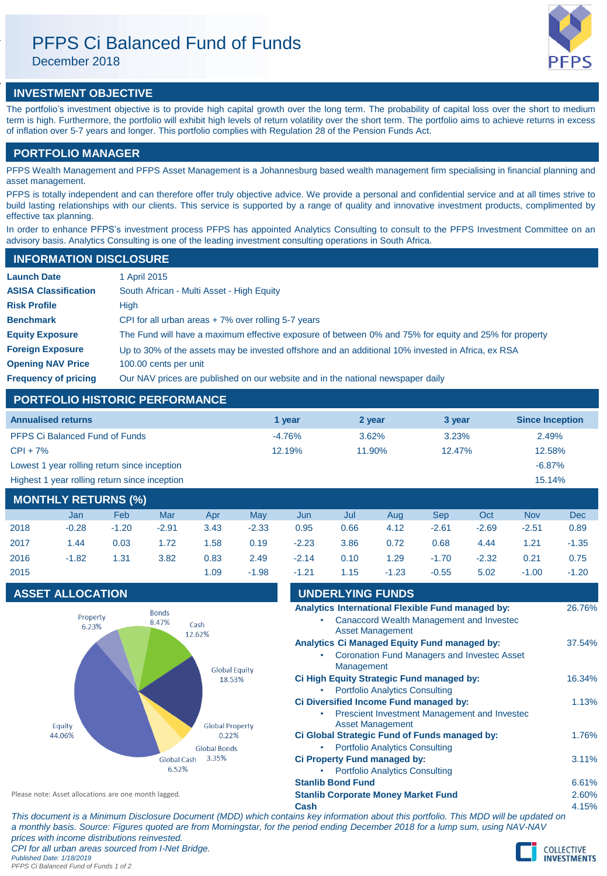# PFPS Ci Balanced Fund of Funds

December 2018

# **INVESTMENT OBJECTIVE**

The portfolio's investment objective is to provide high capital growth over the long term. The probability of capital loss over the short to medium term is high. Furthermore, the portfolio will exhibit high levels of return volatility over the short term. The portfolio aims to achieve returns in excess of inflation over 5-7 years and longer. This portfolio complies with Regulation 28 of the Pension Funds Act.

## **PORTFOLIO MANAGER**

PFPS Wealth Management and PFPS Asset Management is a Johannesburg based wealth management firm specialising in financial planning and asset management.

PFPS is totally independent and can therefore offer truly objective advice. We provide a personal and confidential service and at all times strive to build lasting relationships with our clients. This service is supported by a range of quality and innovative investment products, complimented by effective tax planning.

In order to enhance PFPS's investment process PFPS has appointed Analytics Consulting to consult to the PFPS Investment Committee on an advisory basis. Analytics Consulting is one of the leading investment consulting operations in South Africa.

### **INFORMATION DISCLOSURE**

| <b>Launch Date</b>          | 1 April 2015                                                                                          |
|-----------------------------|-------------------------------------------------------------------------------------------------------|
| <b>ASISA Classification</b> | South African - Multi Asset - High Equity                                                             |
| <b>Risk Profile</b>         | High                                                                                                  |
| <b>Benchmark</b>            | CPI for all urban areas $+7\%$ over rolling 5-7 years                                                 |
| <b>Equity Exposure</b>      | The Fund will have a maximum effective exposure of between 0% and 75% for equity and 25% for property |
| <b>Foreign Exposure</b>     | Up to 30% of the assets may be invested offshore and an additional 10% invested in Africa, ex RSA     |
| <b>Opening NAV Price</b>    | 100.00 cents per unit                                                                                 |
| <b>Frequency of pricing</b> | Our NAV prices are published on our website and in the national newspaper daily                       |

## **PORTFOLIO HISTORIC PERFORMANCE**

| <b>Annualised returns</b>                     | 1 vear   | 2 year | 3 year | <b>Since Inception</b> |
|-----------------------------------------------|----------|--------|--------|------------------------|
| <b>PFPS Ci Balanced Fund of Funds</b>         | $-4.76%$ | 3.62%  | 3.23%  | 2.49%                  |
| $CPI + 7%$                                    | 12.19%   | 11.90% | 12.47% | 12.58%                 |
| Lowest 1 year rolling return since inception  |          |        |        | $-6.87%$               |
| Highest 1 year rolling return since inception |          |        |        | 15.14%                 |
|                                               |          |        |        |                        |

## **MONTHLY RETURNS (%)**

|      | Jan     | <b>Feb</b> | Mar         | Apr  |         | May Jun Jul                        |      | Aug     | Sep 7   | Oct     | <b>Nov</b> | <b>Dec</b> |
|------|---------|------------|-------------|------|---------|------------------------------------|------|---------|---------|---------|------------|------------|
| 2018 | $-0.28$ | $-1.20$    | $-2.91$     | 3.43 | $-2.33$ | 0.95                               | 0.66 | 4.12    | $-2.61$ | $-2.69$ | $-2.51$    | 0.89       |
| 2017 | 1.44    |            | $0.03$ 1.72 |      |         | 1.58  0.19     -2.23   3.86   0.72 |      |         | 0.68    |         | 4.44 1.21  | $-1.35$    |
| 2016 | $-1.82$ | $-1.31$    | 3.82        | 0.83 |         |                                    |      |         |         | $-2.32$ | 0.21       | 0.75       |
| 2015 |         |            |             | 1.09 | $-1.98$ | $-1.21$                            | 1.15 | $-1.23$ | $-0.55$ | 5.02    | -1.00      | $-1.20$    |

## **ASSET ALLOCATION**



| 2015                                                 | 1.09                                                                                                                                                                        | $-1.98$ | $-1.21$                                                                                                                       | 1.15                                                                               | $-1.23$                                                           | $-0.55$                                            | 5.02                                         | $-1.00$ | $-1.20$ |
|------------------------------------------------------|-----------------------------------------------------------------------------------------------------------------------------------------------------------------------------|---------|-------------------------------------------------------------------------------------------------------------------------------|------------------------------------------------------------------------------------|-------------------------------------------------------------------|----------------------------------------------------|----------------------------------------------|---------|---------|
| <b>ASSET ALLOCATION</b>                              |                                                                                                                                                                             |         |                                                                                                                               | <b>UNDERLYING FUNDS</b>                                                            |                                                                   |                                                    |                                              |         |         |
| Property<br>6.23%                                    | <b>Bonds</b><br>8.47%<br>Cash<br>12.62%<br><b>Global Equity</b><br>18.53%<br><b>Global Property</b><br>0.22%<br><b>Global Bonds</b><br>3.35%<br><b>Global Cash</b><br>6.52% |         | Analytics International Flexible Fund managed by:<br>Canaccord Wealth Management and Invested<br>٠<br><b>Asset Management</b> |                                                                                    |                                                                   |                                                    |                                              |         | 26.76%  |
|                                                      |                                                                                                                                                                             | ٠       | Management                                                                                                                    | Analytics Ci Managed Equity Fund managed by:                                       |                                                                   | <b>Coronation Fund Managers and Invested Asset</b> |                                              | 37.54%  |         |
|                                                      |                                                                                                                                                                             | ٠       |                                                                                                                               | Ci High Equity Strategic Fund managed by:<br><b>Portfolio Analytics Consulting</b> |                                                                   |                                                    |                                              | 16.34%  |         |
| Equity                                               |                                                                                                                                                                             |         | ٠                                                                                                                             |                                                                                    | Ci Diversified Income Fund managed by:<br><b>Asset Management</b> |                                                    | Prescient Investment Management and Investec |         | 1.13%   |
| 44.06%                                               |                                                                                                                                                                             |         | Ci Global Strategic Fund of Funds managed by:<br><b>Portfolio Analytics Consulting</b><br>۰                                   |                                                                                    |                                                                   |                                                    |                                              |         | 1.76%   |
|                                                      |                                                                                                                                                                             |         |                                                                                                                               | Ci Property Fund managed by:<br><b>Portfolio Analytics Consulting</b>              |                                                                   |                                                    |                                              | 3.11%   |         |
|                                                      |                                                                                                                                                                             |         |                                                                                                                               | <b>Stanlib Bond Fund</b>                                                           |                                                                   |                                                    |                                              |         | 6.61%   |
| Please note: Asset allocations are one month lagged. |                                                                                                                                                                             |         |                                                                                                                               |                                                                                    | <b>Stanlib Corporate Money Market Fund</b>                        |                                                    |                                              |         | 2.60%   |
|                                                      |                                                                                                                                                                             |         | Cash                                                                                                                          |                                                                                    |                                                                   |                                                    |                                              |         | 4.15%   |
|                                                      |                                                                                                                                                                             |         |                                                                                                                               |                                                                                    |                                                                   |                                                    |                                              |         |         |

*This document is a Minimum Disclosure Document (MDD) which contains key information about this portfolio. This MDD will be updated on a monthly basis. Source: Figures quoted are from Morningstar, for the period ending December 2018 for a lump sum, using NAV-NAV prices with income distributions reinvested. CPI for all urban areas sourced from I-Net Bridge. Published Date: 1/18/2019 PFPS Ci Balanced Fund of Funds 1 of 2*